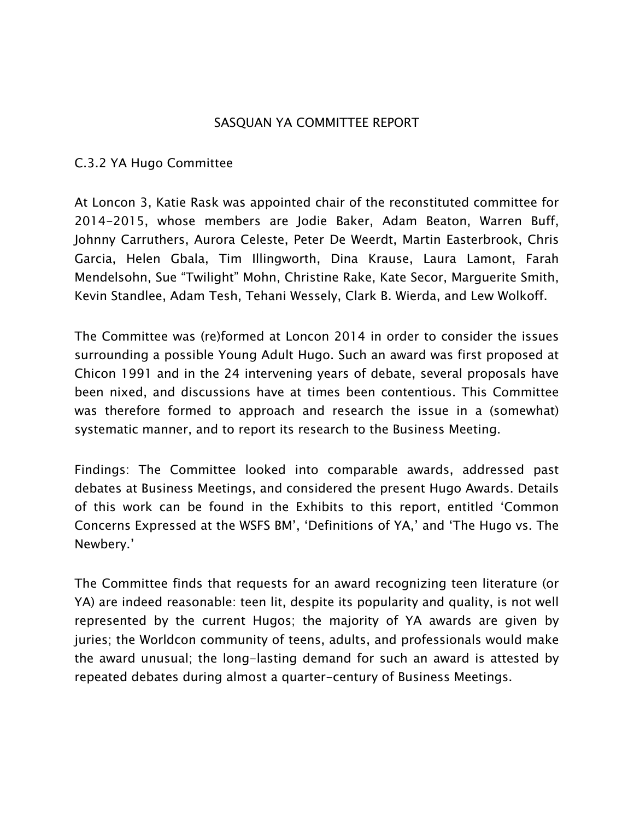## SASQUAN YA COMMITTEE REPORT

## C.3.2 YA Hugo Committee

At Loncon 3, Katie Rask was appointed chair of the reconstituted committee for 2014-2015, whose members are Jodie Baker, Adam Beaton, Warren Buff, Johnny Carruthers, Aurora Celeste, Peter De Weerdt, Martin Easterbrook, Chris Garcia, Helen Gbala, Tim Illingworth, Dina Krause, Laura Lamont, Farah Mendelsohn, Sue "Twilight" Mohn, Christine Rake, Kate Secor, Marguerite Smith, Kevin Standlee, Adam Tesh, Tehani Wessely, Clark B. Wierda, and Lew Wolkoff.

The Committee was (re)formed at Loncon 2014 in order to consider the issues surrounding a possible Young Adult Hugo. Such an award was first proposed at Chicon 1991 and in the 24 intervening years of debate, several proposals have been nixed, and discussions have at times been contentious. This Committee was therefore formed to approach and research the issue in a (somewhat) systematic manner, and to report its research to the Business Meeting.

Findings: The Committee looked into comparable awards, addressed past debates at Business Meetings, and considered the present Hugo Awards. Details of this work can be found in the Exhibits to this report, entitled 'Common Concerns Expressed at the WSFS BM', 'Definitions of YA,' and 'The Hugo vs. The Newbery.'

The Committee finds that requests for an award recognizing teen literature (or YA) are indeed reasonable: teen lit, despite its popularity and quality, is not well represented by the current Hugos; the majority of YA awards are given by juries; the Worldcon community of teens, adults, and professionals would make the award unusual; the long-lasting demand for such an award is attested by repeated debates during almost a quarter-century of Business Meetings.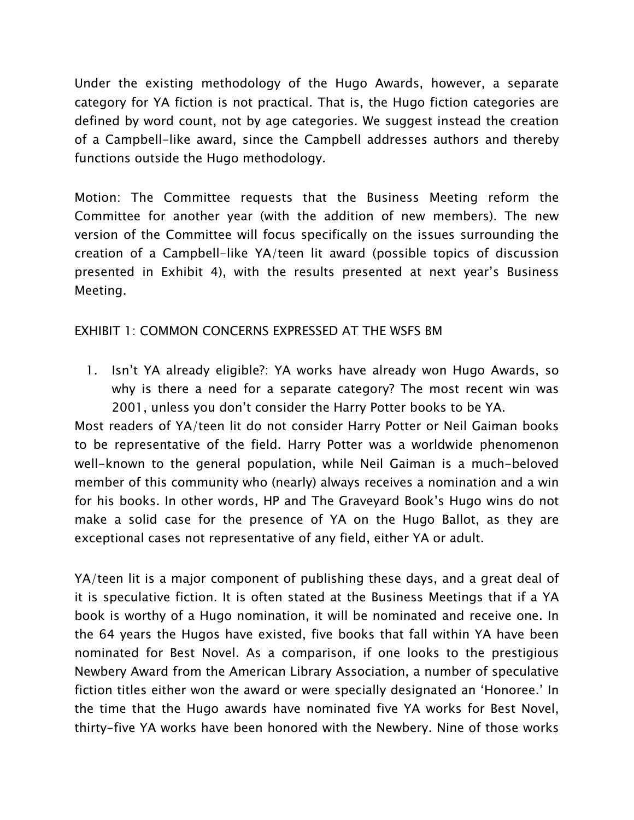Under the existing methodology of the Hugo Awards, however, a separate category for YA fiction is not practical. That is, the Hugo fiction categories are defined by word count, not by age categories. We suggest instead the creation of a Campbell-like award, since the Campbell addresses authors and thereby functions outside the Hugo methodology.

Motion: The Committee requests that the Business Meeting reform the Committee for another year (with the addition of new members). The new version of the Committee will focus specifically on the issues surrounding the creation of a Campbell-like YA/teen lit award (possible topics of discussion presented in Exhibit 4), with the results presented at next year's Business Meeting.

## EXHIBIT 1: COMMON CONCERNS EXPRESSED AT THE WSFS BM

1. Isn't YA already eligible?: YA works have already won Hugo Awards, so why is there a need for a separate category? The most recent win was 2001, unless you don't consider the Harry Potter books to be YA.

Most readers of YA/teen lit do not consider Harry Potter or Neil Gaiman books to be representative of the field. Harry Potter was a worldwide phenomenon well-known to the general population, while Neil Gaiman is a much-beloved member of this community who (nearly) always receives a nomination and a win for his books. In other words, HP and The Graveyard Book's Hugo wins do not make a solid case for the presence of YA on the Hugo Ballot, as they are exceptional cases not representative of any field, either YA or adult.

YA/teen lit is a major component of publishing these days, and a great deal of it is speculative fiction. It is often stated at the Business Meetings that if a YA book is worthy of a Hugo nomination, it will be nominated and receive one. In the 64 years the Hugos have existed, five books that fall within YA have been nominated for Best Novel. As a comparison, if one looks to the prestigious Newbery Award from the American Library Association, a number of speculative fiction titles either won the award or were specially designated an 'Honoree.' In the time that the Hugo awards have nominated five YA works for Best Novel, thirty-five YA works have been honored with the Newbery. Nine of those works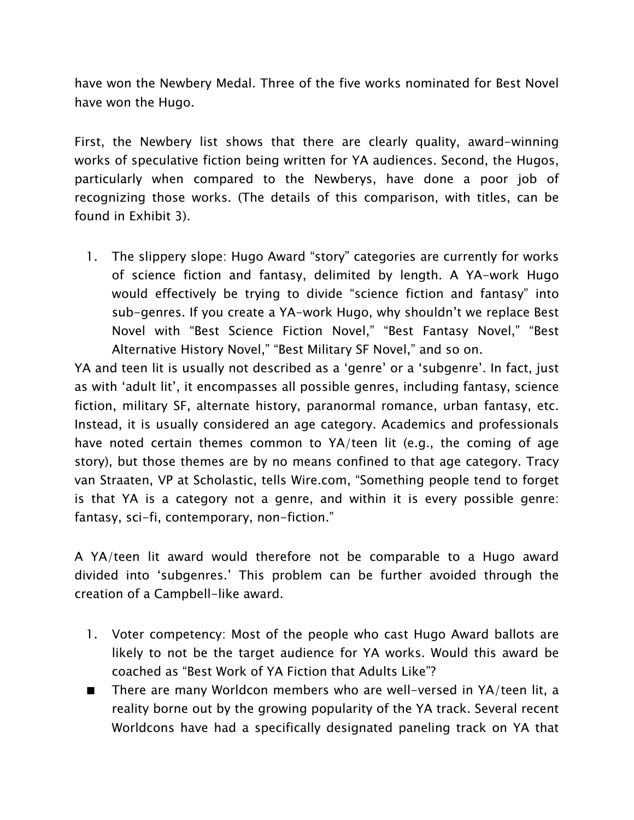have won the Newbery Medal. Three of the five works nominated for Best Novel have won the Hugo.

First, the Newbery list shows that there are clearly quality, award-winning works of speculative fiction being written for YA audiences. Second, the Hugos, particularly when compared to the Newberys, have done a poor job of recognizing those works. (The details of this comparison, with titles, can be found in Exhibit 3).

1. The slippery slope: Hugo Award "story" categories are currently for works of science fiction and fantasy, delimited by length. A YA-work Hugo would effectively be trying to divide "science fiction and fantasy" into sub-genres. If you create a YA-work Hugo, why shouldn't we replace Best Novel with "Best Science Fiction Novel," "Best Fantasy Novel," "Best Alternative History Novel," "Best Military SF Novel," and so on.

YA and teen lit is usually not described as a 'genre' or a 'subgenre'. In fact, just as with 'adult lit', it encompasses all possible genres, including fantasy, science fiction, military SF, alternate history, paranormal romance, urban fantasy, etc. Instead, it is usually considered an age category. Academics and professionals have noted certain themes common to YA/teen lit (e.g., the coming of age story), but those themes are by no means confined to that age category. Tracy van Straaten, VP at Scholastic, tells Wire.com, "Something people tend to forget is that YA is a category not a genre, and within it is every possible genre: fantasy, sci-fi, contemporary, non-fiction."

A YA/teen lit award would therefore not be comparable to a Hugo award divided into 'subgenres.' This problem can be further avoided through the creation of a Campbell-like award.

- 1. Voter competency: Most of the people who cast Hugo Award ballots are likely to not be the target audience for YA works. Would this award be coached as "Best Work of YA Fiction that Adults Like"?
- There are many Worldcon members who are well-versed in YA/teen lit, a reality borne out by the growing popularity of the YA track. Several recent Worldcons have had a specifically designated paneling track on YA that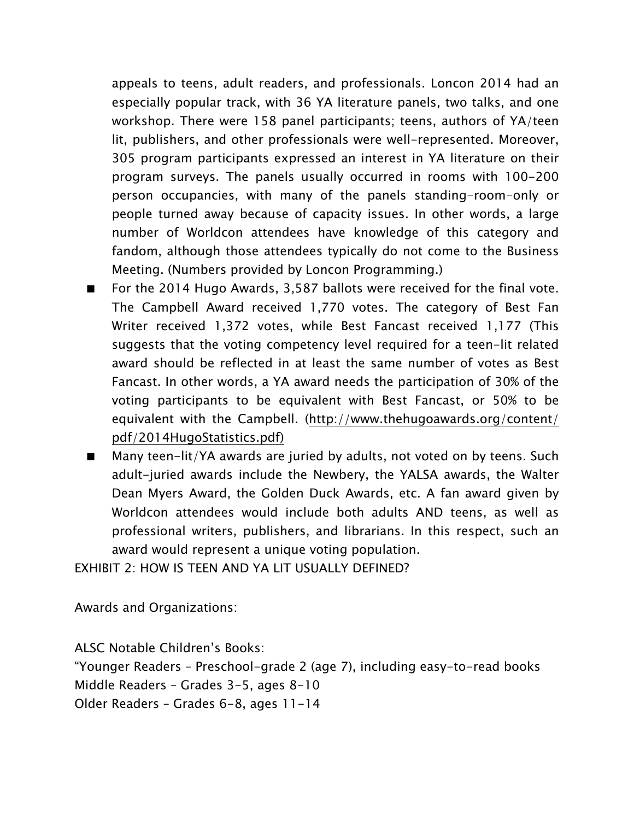appeals to teens, adult readers, and professionals. Loncon 2014 had an especially popular track, with 36 YA literature panels, two talks, and one workshop. There were 158 panel participants; teens, authors of YA/teen lit, publishers, and other professionals were well-represented. Moreover, 305 program participants expressed an interest in YA literature on their program surveys. The panels usually occurred in rooms with 100-200 person occupancies, with many of the panels standing-room-only or people turned away because of capacity issues. In other words, a large number of Worldcon attendees have knowledge of this category and fandom, although those attendees typically do not come to the Business Meeting. (Numbers provided by Loncon Programming.)

- For the 2014 Hugo Awards, 3,587 ballots were received for the final vote. The Campbell Award received 1,770 votes. The category of Best Fan Writer received 1,372 votes, while Best Fancast received 1,177 (This suggests that the voting competency level required for a teen-lit related award should be reflected in at least the same number of votes as Best Fancast. In other words, a YA award needs the participation of 30% of the voting participants to be equivalent with Best Fancast, or 50% to be equivalent with the Campbell. [\(http://www.thehugoawards.org/content/](http://www.thehugoawards.org/content/pdf/2014HugoStatistics.pdf)) [pdf/2014HugoStatistics.pdf\)](http://www.thehugoawards.org/content/pdf/2014HugoStatistics.pdf))
- Many teen-lit/YA awards are juried by adults, not voted on by teens. Such adult-juried awards include the Newbery, the YALSA awards, the Walter Dean Myers Award, the Golden Duck Awards, etc. A fan award given by Worldcon attendees would include both adults AND teens, as well as professional writers, publishers, and librarians. In this respect, such an award would represent a unique voting population.

EXHIBIT 2: HOW IS TEEN AND YA LIT USUALLY DEFINED?

Awards and Organizations:

ALSC Notable Children's Books: "Younger Readers – Preschool-grade 2 (age 7), including easy-to-read books Middle Readers – Grades 3-5, ages 8-10 Older Readers – Grades 6-8, ages 11-14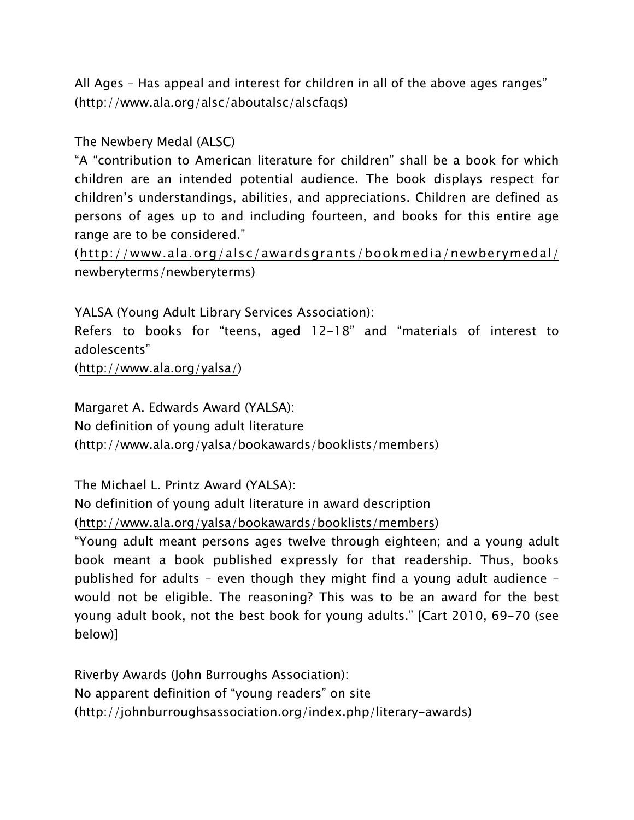All Ages – Has appeal and interest for children in all of the above ages ranges" (<http://www.ala.org/alsc/aboutalsc/alscfaqs>)

## The Newbery Medal (ALSC)

"A "contribution to American literature for children" shall be a book for which children are an intended potential audience. The book displays respect for children's understandings, abilities, and appreciations. Children are defined as persons of ages up to and including fourteen, and books for this entire age range are to be considered."

([http://www.ala.org/alsc/awardsgrants/bookmedia/newberymedal/](http://www.ala.org/alsc/awardsgrants/bookmedia/newberymedal/newberyterms/newberyterms) [newberyterms/newberyterms\)](http://www.ala.org/alsc/awardsgrants/bookmedia/newberymedal/newberyterms/newberyterms)

YALSA (Young Adult Library Services Association):

Refers to books for "teens, aged 12-18" and "materials of interest to adolescents"

([http://www.ala.org/yalsa/\)](http://www.ala.org/yalsa/)

Margaret A. Edwards Award (YALSA): No definition of young adult literature (<http://www.ala.org/yalsa/bookawards/booklists/members>)

The Michael L. Printz Award (YALSA):

No definition of young adult literature in award description (<http://www.ala.org/yalsa/bookawards/booklists/members>)

"Young adult meant persons ages twelve through eighteen; and a young adult book meant a book published expressly for that readership. Thus, books published for adults – even though they might find a young adult audience – would not be eligible. The reasoning? This was to be an award for the best young adult book, not the best book for young adults." [Cart 2010, 69-70 (see below)]

Riverby Awards (John Burroughs Association): No apparent definition of "young readers" on site ([http://johnburroughsassociation.org/index.php/literary-awards\)](http://johnburroughsassociation.org/index.php/literary-awards)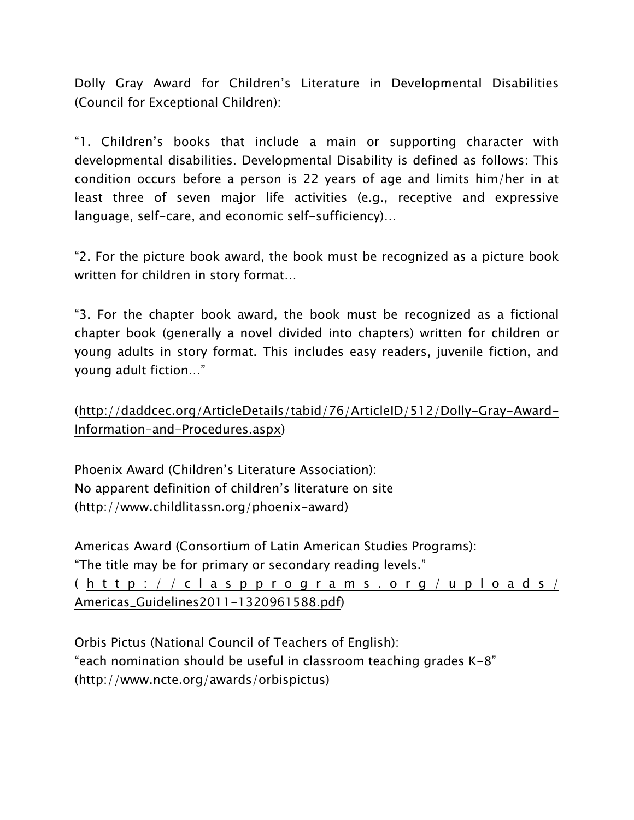Dolly Gray Award for Children's Literature in Developmental Disabilities (Council for Exceptional Children):

"1. Children's books that include a main or supporting character with developmental disabilities. Developmental Disability is defined as follows: This condition occurs before a person is 22 years of age and limits him/her in at least three of seven major life activities (e.g., receptive and expressive language, self-care, and economic self-sufficiency)…

"2. For the picture book award, the book must be recognized as a picture book written for children in story format…

"3. For the chapter book award, the book must be recognized as a fictional chapter book (generally a novel divided into chapters) written for children or young adults in story format. This includes easy readers, juvenile fiction, and young adult fiction…"

([http://daddcec.org/ArticleDetails/tabid/76/ArticleID/512/Dolly-Gray-Award-](http://daddcec.org/ArticleDetails/tabid/76/ArticleID/512/Dolly-Gray-Award-Information-and-Procedures.aspx)[Information-and-Procedures.aspx\)](http://daddcec.org/ArticleDetails/tabid/76/ArticleID/512/Dolly-Gray-Award-Information-and-Procedures.aspx)

Phoenix Award (Children's Literature Association): No apparent definition of children's literature on site ([http://www.childlitassn.org/phoenix-award\)](http://www.childlitassn.org/phoenix-award)

Americas Award (Consortium of Latin American Studies Programs): "The title may be for primary or secondary reading levels."

( [http://claspprograms.org/uploads/](http://claspprograms.org/uploads/Americas_Guidelines2011-1320961588.pdf) [Americas\\_Guidelines2011-1320961588.pdf\)](http://claspprograms.org/uploads/Americas_Guidelines2011-1320961588.pdf)

Orbis Pictus (National Council of Teachers of English): "each nomination should be useful in classroom teaching grades K-8" (<http://www.ncte.org/awards/orbispictus>)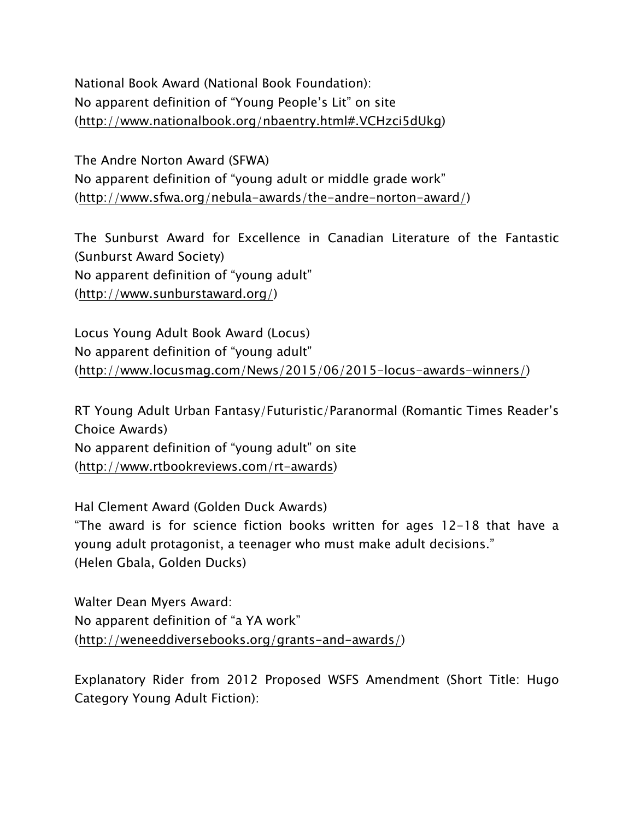National Book Award (National Book Foundation): No apparent definition of "Young People's Lit" on site ([http://www.nationalbook.org/nbaentry.html#.VCHzci5dUkg\)](http://www.nationalbook.org/nbaentry.html%23.VCHzci5dUkg)

The Andre Norton Award (SFWA) No apparent definition of "young adult or middle grade work" ([http://www.sfwa.org/nebula-awards/the-andre-norton-award/\)](http://www.sfwa.org/nebula-awards/the-andre-norton-award/)

The Sunburst Award for Excellence in Canadian Literature of the Fantastic (Sunburst Award Society) No apparent definition of "young adult" (<http://www.sunburstaward.org/>)

Locus Young Adult Book Award (Locus) No apparent definition of "young adult" (<http://www.locusmag.com/News/2015/06/2015-locus-awards-winners/>)

RT Young Adult Urban Fantasy/Futuristic/Paranormal (Romantic Times Reader's Choice Awards) No apparent definition of "young adult" on site (<http://www.rtbookreviews.com/rt-awards>)

Hal Clement Award (Golden Duck Awards) "The award is for science fiction books written for ages 12-18 that have a young adult protagonist, a teenager who must make adult decisions." (Helen Gbala, Golden Ducks)

Walter Dean Myers Award: No apparent definition of "a YA work" (<http://weneeddiversebooks.org/grants-and-awards/>)

Explanatory Rider from 2012 Proposed WSFS Amendment (Short Title: Hugo Category Young Adult Fiction):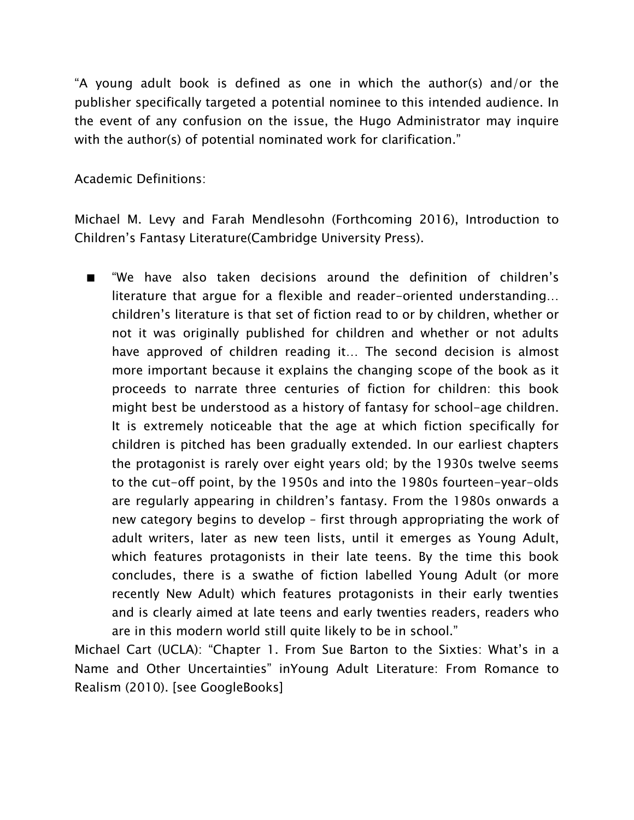"A young adult book is defined as one in which the author(s) and/or the publisher specifically targeted a potential nominee to this intended audience. In the event of any confusion on the issue, the Hugo Administrator may inquire with the author(s) of potential nominated work for clarification."

Academic Definitions:

Michael M. Levy and Farah Mendlesohn (Forthcoming 2016), Introduction to Children's Fantasy Literature(Cambridge University Press).

■ "We have also taken decisions around the definition of children's literature that argue for a flexible and reader-oriented understanding… children's literature is that set of fiction read to or by children, whether or not it was originally published for children and whether or not adults have approved of children reading it… The second decision is almost more important because it explains the changing scope of the book as it proceeds to narrate three centuries of fiction for children: this book might best be understood as a history of fantasy for school-age children. It is extremely noticeable that the age at which fiction specifically for children is pitched has been gradually extended. In our earliest chapters the protagonist is rarely over eight years old; by the 1930s twelve seems to the cut-off point, by the 1950s and into the 1980s fourteen-year-olds are regularly appearing in children's fantasy. From the 1980s onwards a new category begins to develop – first through appropriating the work of adult writers, later as new teen lists, until it emerges as Young Adult, which features protagonists in their late teens. By the time this book concludes, there is a swathe of fiction labelled Young Adult (or more recently New Adult) which features protagonists in their early twenties and is clearly aimed at late teens and early twenties readers, readers who are in this modern world still quite likely to be in school."

Michael Cart (UCLA): "Chapter 1. From Sue Barton to the Sixties: What's in a Name and Other Uncertainties" inYoung Adult Literature: From Romance to Realism (2010). [see GoogleBooks]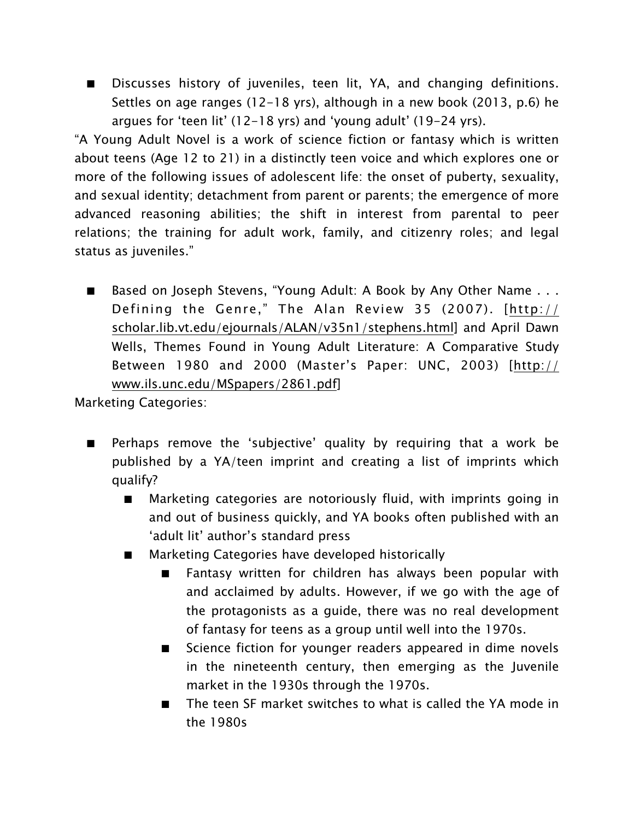■ Discusses history of juveniles, teen lit, YA, and changing definitions. Settles on age ranges (12-18 yrs), although in a new book (2013, p.6) he argues for 'teen lit' (12-18 yrs) and 'young adult' (19-24 yrs).

"A Young Adult Novel is a work of science fiction or fantasy which is written about teens (Age 12 to 21) in a distinctly teen voice and which explores one or more of the following issues of adolescent life: the onset of puberty, sexuality, and sexual identity; detachment from parent or parents; the emergence of more advanced reasoning abilities; the shift in interest from parental to peer relations; the training for adult work, family, and citizenry roles; and legal status as juveniles."

■ Based on Joseph Stevens, "Young Adult: A Book by Any Other Name . . . Defining the Genre," The Alan Review 35 (2007). [[http://](http://scholar.lib.vt.edu/ejournals/ALAN/v35n1/stephens.html) [scholar.lib.vt.edu/ejournals/ALAN/v35n1/stephens.html](http://scholar.lib.vt.edu/ejournals/ALAN/v35n1/stephens.html)] and April Dawn Wells, Themes Found in Young Adult Literature: A Comparative Study Between 1980 and 2000 (Master's Paper: UNC, 2003) [[http://](http://www.ils.unc.edu/MSpapers/2861.pdf) [www.ils.unc.edu/MSpapers/2861.pdf](http://www.ils.unc.edu/MSpapers/2861.pdf)]

Marketing Categories:

- Perhaps remove the 'subjective' quality by requiring that a work be published by a YA/teen imprint and creating a list of imprints which qualify?
	- Marketing categories are notoriously fluid, with imprints going in and out of business quickly, and YA books often published with an 'adult lit' author's standard press
	- Marketing Categories have developed historically
		- Fantasy written for children has always been popular with and acclaimed by adults. However, if we go with the age of the protagonists as a guide, there was no real development of fantasy for teens as a group until well into the 1970s.
		- Science fiction for younger readers appeared in dime novels in the nineteenth century, then emerging as the Juvenile market in the 1930s through the 1970s.
		- The teen SF market switches to what is called the YA mode in the 1980s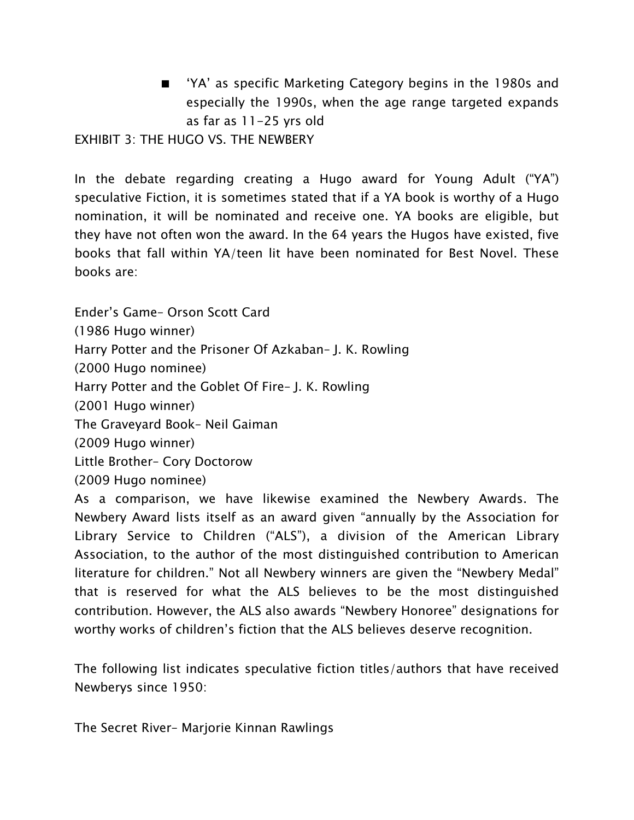'YA' as specific Marketing Category begins in the 1980s and especially the 1990s, when the age range targeted expands as far as 11-25 yrs old

EXHIBIT 3: THE HUGO VS. THE NEWBERY

In the debate regarding creating a Hugo award for Young Adult ("YA") speculative Fiction, it is sometimes stated that if a YA book is worthy of a Hugo nomination, it will be nominated and receive one. YA books are eligible, but they have not often won the award. In the 64 years the Hugos have existed, five books that fall within YA/teen lit have been nominated for Best Novel. These books are:

Ender's Game– Orson Scott Card (1986 Hugo winner) Harry Potter and the Prisoner Of Azkaban– J. K. Rowling (2000 Hugo nominee) Harry Potter and the Goblet Of Fire– J. K. Rowling (2001 Hugo winner) The Graveyard Book– Neil Gaiman (2009 Hugo winner) Little Brother– Cory Doctorow (2009 Hugo nominee)

As a comparison, we have likewise examined the Newbery Awards. The Newbery Award lists itself as an award given "annually by the Association for Library Service to Children ("ALS"), a division of the American Library Association, to the author of the most distinguished contribution to American literature for children." Not all Newbery winners are given the "Newbery Medal" that is reserved for what the ALS believes to be the most distinguished contribution. However, the ALS also awards "Newbery Honoree" designations for worthy works of children's fiction that the ALS believes deserve recognition.

The following list indicates speculative fiction titles/authors that have received Newberys since 1950:

The Secret River– Marjorie Kinnan Rawlings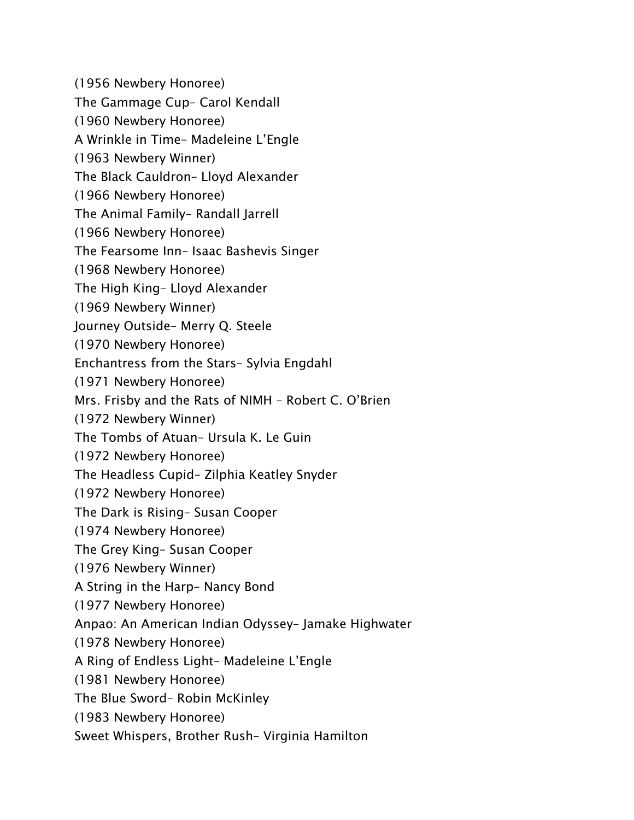(1956 Newbery Honoree) The Gammage Cup– Carol Kendall (1960 Newbery Honoree) A Wrinkle in Time– Madeleine L'Engle (1963 Newbery Winner) The Black Cauldron– Lloyd Alexander (1966 Newbery Honoree) The Animal Family– Randall Jarrell (1966 Newbery Honoree) The Fearsome Inn– Isaac Bashevis Singer (1968 Newbery Honoree) The High King– Lloyd Alexander (1969 Newbery Winner) Journey Outside– Merry Q. Steele (1970 Newbery Honoree) Enchantress from the Stars– Sylvia Engdahl (1971 Newbery Honoree) Mrs. Frisby and the Rats of NIMH – Robert C. O'Brien (1972 Newbery Winner) The Tombs of Atuan– Ursula K. Le Guin (1972 Newbery Honoree) The Headless Cupid– Zilphia Keatley Snyder (1972 Newbery Honoree) The Dark is Rising– Susan Cooper (1974 Newbery Honoree) The Grey King– Susan Cooper (1976 Newbery Winner) A String in the Harp– Nancy Bond (1977 Newbery Honoree) Anpao: An American Indian Odyssey– Jamake Highwater (1978 Newbery Honoree) A Ring of Endless Light– Madeleine L'Engle (1981 Newbery Honoree) The Blue Sword– Robin McKinley (1983 Newbery Honoree) Sweet Whispers, Brother Rush– Virginia Hamilton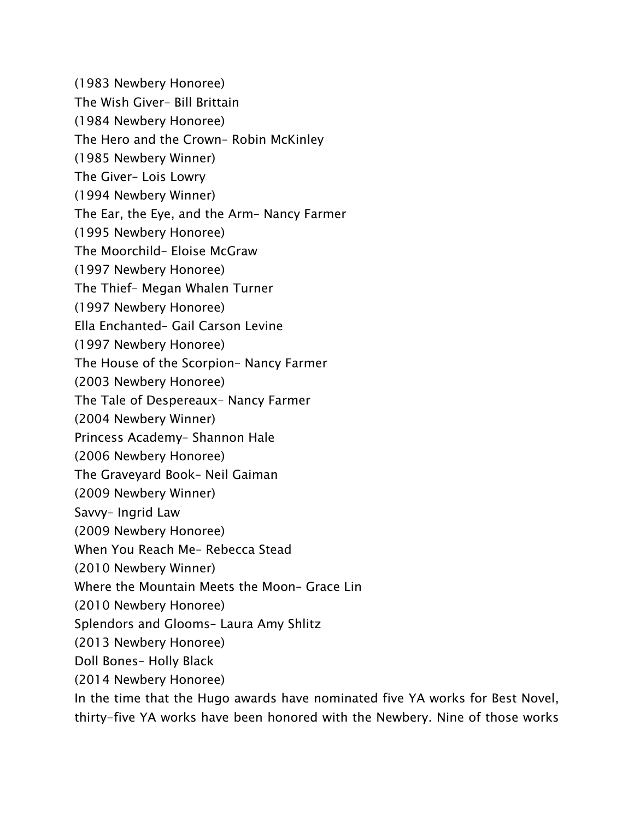(1983 Newbery Honoree)

The Wish Giver– Bill Brittain

(1984 Newbery Honoree)

The Hero and the Crown– Robin McKinley

(1985 Newbery Winner)

The Giver– Lois Lowry

(1994 Newbery Winner)

The Ear, the Eye, and the Arm– Nancy Farmer

(1995 Newbery Honoree)

The Moorchild– Eloise McGraw

(1997 Newbery Honoree)

The Thief– Megan Whalen Turner

(1997 Newbery Honoree)

Ella Enchanted– Gail Carson Levine

(1997 Newbery Honoree)

The House of the Scorpion– Nancy Farmer

(2003 Newbery Honoree)

The Tale of Despereaux– Nancy Farmer

(2004 Newbery Winner)

Princess Academy– Shannon Hale

(2006 Newbery Honoree)

The Graveyard Book– Neil Gaiman

(2009 Newbery Winner)

Savvy– Ingrid Law

(2009 Newbery Honoree)

When You Reach Me– Rebecca Stead

(2010 Newbery Winner)

Where the Mountain Meets the Moon– Grace Lin

(2010 Newbery Honoree)

Splendors and Glooms– Laura Amy Shlitz

(2013 Newbery Honoree)

Doll Bones– Holly Black

(2014 Newbery Honoree)

In the time that the Hugo awards have nominated five YA works for Best Novel, thirty-five YA works have been honored with the Newbery. Nine of those works